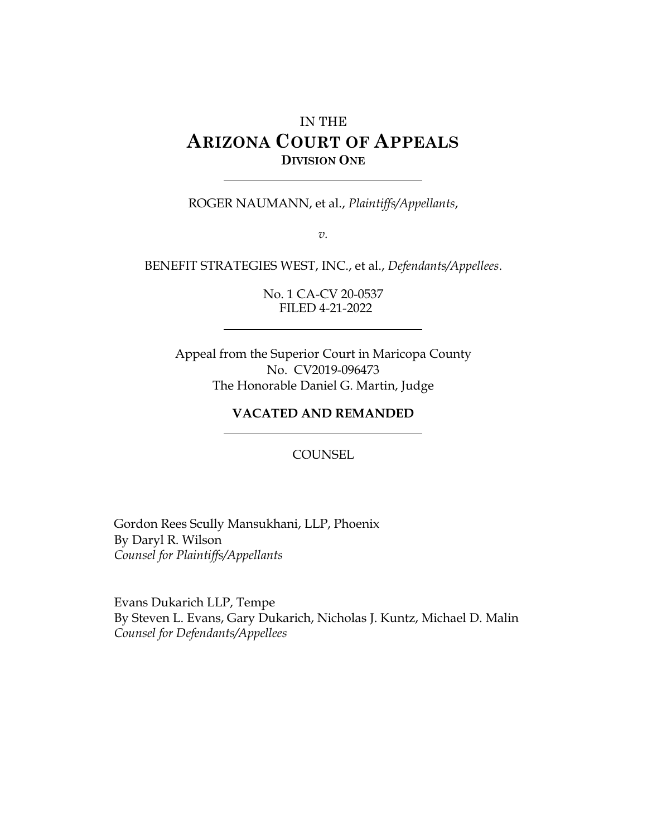# IN THE **ARIZONA COURT OF APPEALS DIVISION ONE**

ROGER NAUMANN, et al., *Plaintiffs/Appellants*,

*v.*

BENEFIT STRATEGIES WEST, INC., et al., *Defendants/Appellees*.

No. 1 CA-CV 20-0537 FILED 4-21-2022

Appeal from the Superior Court in Maricopa County No. CV2019-096473 The Honorable Daniel G. Martin, Judge

#### **VACATED AND REMANDED**

COUNSEL

Gordon Rees Scully Mansukhani, LLP, Phoenix By Daryl R. Wilson *Counsel for Plaintiffs/Appellants*

Evans Dukarich LLP, Tempe By Steven L. Evans, Gary Dukarich, Nicholas J. Kuntz, Michael D. Malin *Counsel for Defendants/Appellees*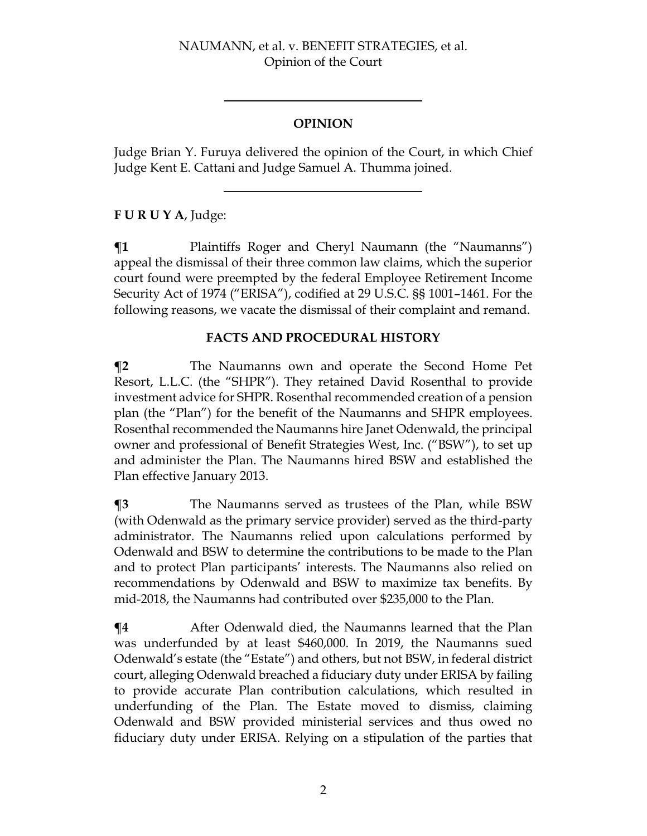# **OPINION**

Judge Brian Y. Furuya delivered the opinion of the Court, in which Chief Judge Kent E. Cattani and Judge Samuel A. Thumma joined.

# **F U R U Y A**, Judge:

 $\P$ **1** Plaintiffs Roger and Cheryl Naumann (the "Naumanns") appeal the dismissal of their three common law claims, which the superior court found were preempted by the federal Employee Retirement Income Security Act of 1974 ("ERISA"), codified at 29 U.S.C. §§ 1001–1461. For the following reasons, we vacate the dismissal of their complaint and remand.

### **FACTS AND PROCEDURAL HISTORY**

**¶2** The Naumanns own and operate the Second Home Pet Resort, L.L.C. (the "SHPR"). They retained David Rosenthal to provide investment advice for SHPR. Rosenthal recommended creation of a pension plan (the "Plan") for the benefit of the Naumanns and SHPR employees. Rosenthal recommended the Naumanns hire Janet Odenwald, the principal owner and professional of Benefit Strategies West, Inc. ("BSW"), to set up and administer the Plan. The Naumanns hired BSW and established the Plan effective January 2013.

**¶3** The Naumanns served as trustees of the Plan, while BSW (with Odenwald as the primary service provider) served as the third-party administrator. The Naumanns relied upon calculations performed by Odenwald and BSW to determine the contributions to be made to the Plan and to protect Plan participants' interests. The Naumanns also relied on recommendations by Odenwald and BSW to maximize tax benefits. By mid-2018, the Naumanns had contributed over \$235,000 to the Plan.

**T4** After Odenwald died, the Naumanns learned that the Plan was underfunded by at least \$460,000. In 2019, the Naumanns sued Odenwald's estate (the "Estate") and others, but not BSW, in federal district court, alleging Odenwald breached a fiduciary duty under ERISA by failing to provide accurate Plan contribution calculations, which resulted in underfunding of the Plan. The Estate moved to dismiss, claiming Odenwald and BSW provided ministerial services and thus owed no fiduciary duty under ERISA. Relying on a stipulation of the parties that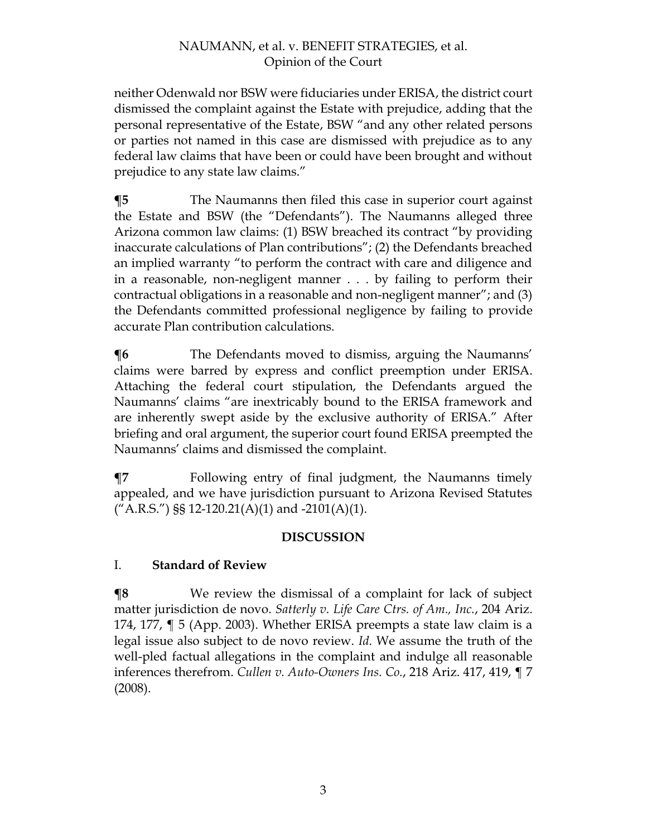neither Odenwald nor BSW were fiduciaries under ERISA, the district court dismissed the complaint against the Estate with prejudice, adding that the personal representative of the Estate, BSW "and any other related persons or parties not named in this case are dismissed with prejudice as to any federal law claims that have been or could have been brought and without prejudice to any state law claims."

**¶5** The Naumanns then filed this case in superior court against the Estate and BSW (the "Defendants"). The Naumanns alleged three Arizona common law claims: (1) BSW breached its contract "by providing inaccurate calculations of Plan contributions"; (2) the Defendants breached an implied warranty "to perform the contract with care and diligence and in a reasonable, non-negligent manner . . . by failing to perform their contractual obligations in a reasonable and non-negligent manner"; and (3) the Defendants committed professional negligence by failing to provide accurate Plan contribution calculations.

**The Defendants moved to dismiss, arguing the Naumanns'** claims were barred by express and conflict preemption under ERISA. Attaching the federal court stipulation, the Defendants argued the Naumanns' claims "are inextricably bound to the ERISA framework and are inherently swept aside by the exclusive authority of ERISA." After briefing and oral argument, the superior court found ERISA preempted the Naumanns' claims and dismissed the complaint.

**¶7** Following entry of final judgment, the Naumanns timely appealed, and we have jurisdiction pursuant to Arizona Revised Statutes ("A.R.S.") §§ 12-120.21(A)(1) and -2101(A)(1).

# **DISCUSSION**

# I. **Standard of Review**

**¶8** We review the dismissal of a complaint for lack of subject matter jurisdiction de novo. *Satterly v. Life Care Ctrs. of Am., Inc.*, 204 Ariz. 174, 177, ¶ 5 (App. 2003). Whether ERISA preempts a state law claim is a legal issue also subject to de novo review. *Id.* We assume the truth of the well-pled factual allegations in the complaint and indulge all reasonable inferences therefrom. *Cullen v. Auto-Owners Ins. Co.*, 218 Ariz. 417, 419, ¶ 7 (2008).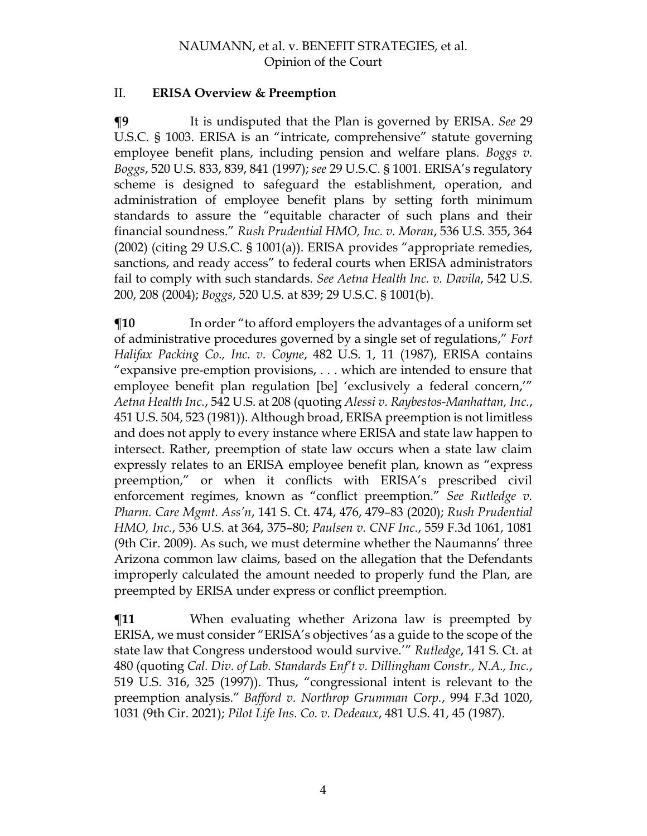### II. **ERISA Overview & Preemption**

**¶9** It is undisputed that the Plan is governed by ERISA. *See* 29 U.S.C. § 1003. ERISA is an "intricate, comprehensive" statute governing employee benefit plans, including pension and welfare plans. *Boggs v. Boggs*, 520 U.S. 833, 839, 841 (1997); *see* 29 U.S.C. § 1001*.* ERISA's regulatory scheme is designed to safeguard the establishment, operation, and administration of employee benefit plans by setting forth minimum standards to assure the "equitable character of such plans and their financial soundness." *Rush Prudential HMO, Inc. v. Moran*, 536 U.S. 355, 364 (2002) (citing 29 U.S.C. § 1001(a)). ERISA provides "appropriate remedies, sanctions, and ready access" to federal courts when ERISA administrators fail to comply with such standards. *See Aetna Health Inc. v. Davila*, 542 U.S. 200, 208 (2004); *Boggs*, 520 U.S. at 839; 29 U.S.C. § 1001(b).

 $\P$ **10** In order "to afford employers the advantages of a uniform set of administrative procedures governed by a single set of regulations," *Fort Halifax Packing Co., Inc. v. Coyne*, 482 U.S. 1, 11 (1987), ERISA contains "expansive pre-emption provisions, . . . which are intended to ensure that employee benefit plan regulation [be] 'exclusively a federal concern,'" *Aetna Health Inc.*, 542 U.S. at 208 (quoting *Alessi v. Raybestos-Manhattan, Inc.*, 451 U.S. 504, 523 (1981)). Although broad, ERISA preemption is not limitless and does not apply to every instance where ERISA and state law happen to intersect. Rather, preemption of state law occurs when a state law claim expressly relates to an ERISA employee benefit plan, known as "express preemption," or when it conflicts with ERISA's prescribed civil enforcement regimes, known as "conflict preemption." *See Rutledge v. Pharm. Care Mgmt. Ass'n*, 141 S. Ct. 474, 476, 479–83 (2020); *Rush Prudential HMO, Inc.*, 536 U.S. at 364, 375–80; *Paulsen v. CNF Inc.*, 559 F.3d 1061, 1081 (9th Cir. 2009). As such, we must determine whether the Naumanns' three Arizona common law claims, based on the allegation that the Defendants improperly calculated the amount needed to properly fund the Plan, are preempted by ERISA under express or conflict preemption.

**¶11** When evaluating whether Arizona law is preempted by ERISA, we must consider "ERISA's objectives 'as a guide to the scope of the state law that Congress understood would survive.'" *Rutledge*, 141 S. Ct. at 480 (quoting *Cal. Div. of Lab. Standards Enf't v. Dillingham Constr., N.A., Inc.*, 519 U.S. 316, 325 (1997)). Thus, "congressional intent is relevant to the preemption analysis." *Bafford v. Northrop Grumman Corp.*, 994 F.3d 1020, 1031 (9th Cir. 2021); *Pilot Life Ins. Co. v. Dedeaux*, 481 U.S. 41, 45 (1987).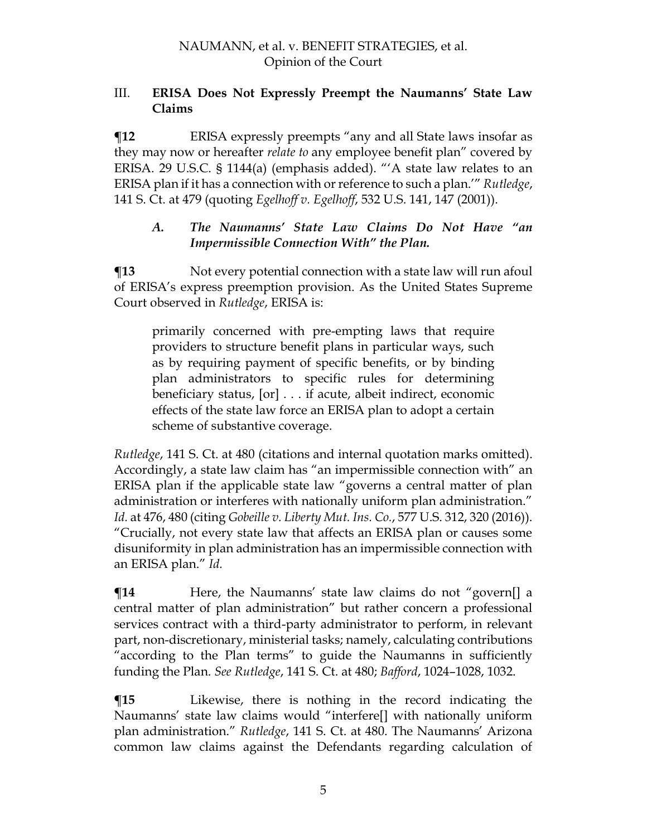#### III. **ERISA Does Not Expressly Preempt the Naumanns' State Law Claims**

**The Term** ERISA expressly preempts "any and all State laws insofar as they may now or hereafter *relate to* any employee benefit plan" covered by ERISA. 29 U.S.C. § 1144(a) (emphasis added). "'A state law relates to an ERISA plan if it has a connection with or reference to such a plan.'" *Rutledge*, 141 S. Ct. at 479 (quoting *Egelhoff v. Egelhoff*, 532 U.S. 141, 147 (2001)).

### *A. The Naumanns' State Law Claims Do Not Have "an Impermissible Connection With" the Plan.*

 $\P$ **13** Not every potential connection with a state law will run afoul of ERISA's express preemption provision. As the United States Supreme Court observed in *Rutledge*, ERISA is:

primarily concerned with pre-empting laws that require providers to structure benefit plans in particular ways, such as by requiring payment of specific benefits, or by binding plan administrators to specific rules for determining beneficiary status, [or] . . . if acute, albeit indirect, economic effects of the state law force an ERISA plan to adopt a certain scheme of substantive coverage.

*Rutledge*, 141 S. Ct. at 480 (citations and internal quotation marks omitted). Accordingly, a state law claim has "an impermissible connection with" an ERISA plan if the applicable state law "governs a central matter of plan administration or interferes with nationally uniform plan administration." *Id.* at 476, 480 (citing *Gobeille v. Liberty Mut. Ins. Co.*, 577 U.S. 312, 320 (2016)). "Crucially, not every state law that affects an ERISA plan or causes some disuniformity in plan administration has an impermissible connection with an ERISA plan." *Id.*

**There, the Naumanns' state law claims do not "govern[] a** central matter of plan administration" but rather concern a professional services contract with a third-party administrator to perform, in relevant part, non-discretionary, ministerial tasks; namely, calculating contributions "according to the Plan terms" to guide the Naumanns in sufficiently funding the Plan. *See Rutledge*, 141 S. Ct. at 480; *Bafford*, 1024–1028, 1032.

**¶15** Likewise, there is nothing in the record indicating the Naumanns' state law claims would "interfere[] with nationally uniform plan administration." *Rutledge*, 141 S. Ct. at 480. The Naumanns' Arizona common law claims against the Defendants regarding calculation of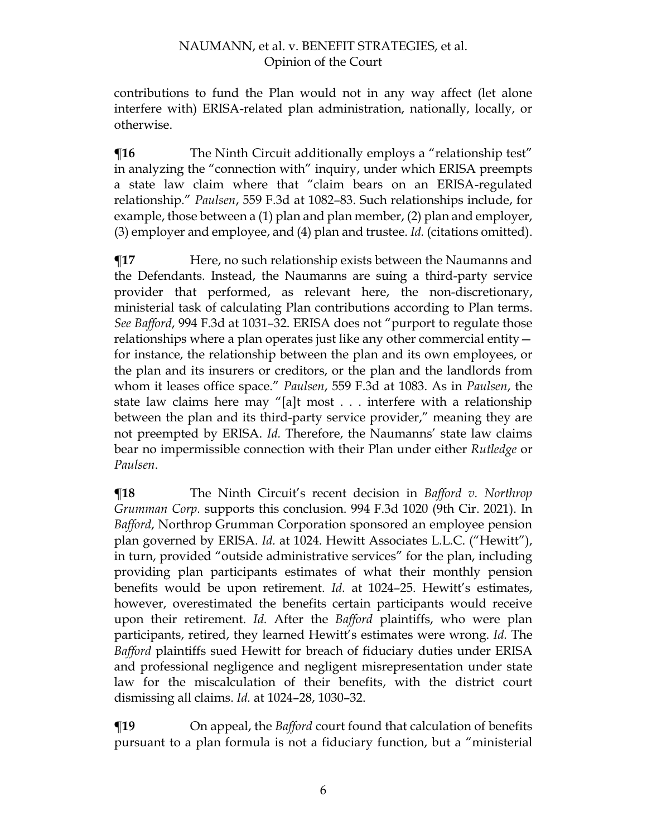contributions to fund the Plan would not in any way affect (let alone interfere with) ERISA-related plan administration, nationally, locally, or otherwise.

**The Ninth Circuit additionally employs a "relationship test"** in analyzing the "connection with" inquiry, under which ERISA preempts a state law claim where that "claim bears on an ERISA-regulated relationship." *Paulsen*, 559 F.3d at 1082–83. Such relationships include, for example, those between a (1) plan and plan member, (2) plan and employer, (3) employer and employee, and (4) plan and trustee. *Id.* (citations omitted).

**¶17** Here, no such relationship exists between the Naumanns and the Defendants. Instead, the Naumanns are suing a third-party service provider that performed, as relevant here, the non-discretionary, ministerial task of calculating Plan contributions according to Plan terms. *See Bafford*, 994 F.3d at 1031–32. ERISA does not "purport to regulate those relationships where a plan operates just like any other commercial entity for instance, the relationship between the plan and its own employees, or the plan and its insurers or creditors, or the plan and the landlords from whom it leases office space." *Paulsen*, 559 F.3d at 1083. As in *Paulsen*, the state law claims here may "[a]t most . . . interfere with a relationship between the plan and its third-party service provider," meaning they are not preempted by ERISA. *Id.* Therefore, the Naumanns' state law claims bear no impermissible connection with their Plan under either *Rutledge* or *Paulsen*.

**¶18** The Ninth Circuit's recent decision in *Bafford v. Northrop Grumman Corp.* supports this conclusion. 994 F.3d 1020 (9th Cir. 2021). In *Bafford*, Northrop Grumman Corporation sponsored an employee pension plan governed by ERISA. *Id.* at 1024. Hewitt Associates L.L.C. ("Hewitt"), in turn, provided "outside administrative services" for the plan, including providing plan participants estimates of what their monthly pension benefits would be upon retirement. *Id.* at 1024–25. Hewitt's estimates, however, overestimated the benefits certain participants would receive upon their retirement. *Id.* After the *Bafford* plaintiffs, who were plan participants, retired, they learned Hewitt's estimates were wrong. *Id.* The *Bafford* plaintiffs sued Hewitt for breach of fiduciary duties under ERISA and professional negligence and negligent misrepresentation under state law for the miscalculation of their benefits, with the district court dismissing all claims. *Id.* at 1024–28, 1030–32.

**¶19** On appeal, the *Bafford* court found that calculation of benefits pursuant to a plan formula is not a fiduciary function, but a "ministerial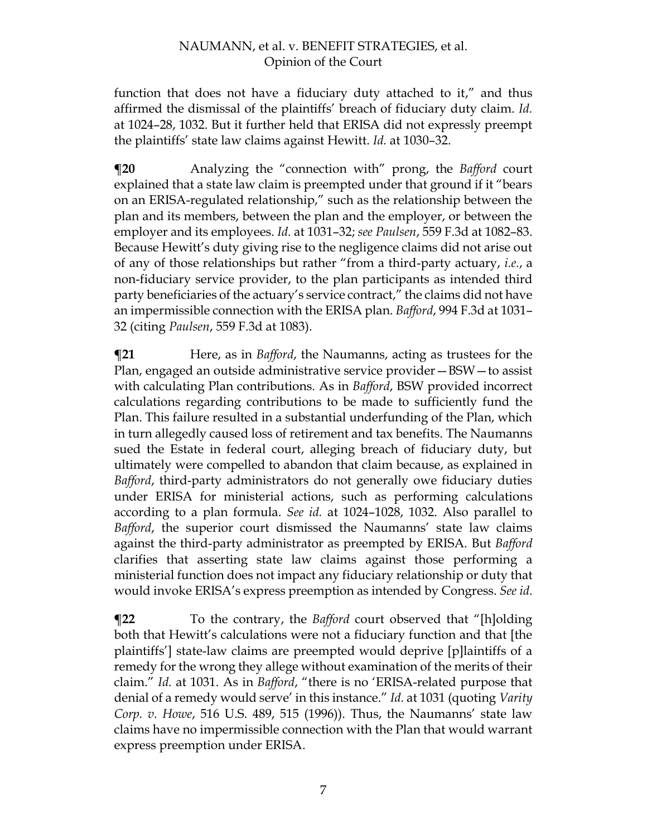function that does not have a fiduciary duty attached to it," and thus affirmed the dismissal of the plaintiffs' breach of fiduciary duty claim. *Id.* at 1024–28, 1032. But it further held that ERISA did not expressly preempt the plaintiffs' state law claims against Hewitt. *Id.* at 1030–32.

**¶20** Analyzing the "connection with" prong, the *Bafford* court explained that a state law claim is preempted under that ground if it "bears on an ERISA-regulated relationship," such as the relationship between the plan and its members, between the plan and the employer, or between the employer and its employees. *Id.* at 1031–32; *see Paulsen*, 559 F.3d at 1082–83. Because Hewitt's duty giving rise to the negligence claims did not arise out of any of those relationships but rather "from a third-party actuary, *i.e.*, a non-fiduciary service provider, to the plan participants as intended third party beneficiaries of the actuary's service contract," the claims did not have an impermissible connection with the ERISA plan. *Bafford*, 994 F.3d at 1031– 32 (citing *Paulsen*, 559 F.3d at 1083).

**[21** Here, as in *Bafford*, the Naumanns, acting as trustees for the Plan, engaged an outside administrative service provider—BSW—to assist with calculating Plan contributions. As in *Bafford*, BSW provided incorrect calculations regarding contributions to be made to sufficiently fund the Plan. This failure resulted in a substantial underfunding of the Plan, which in turn allegedly caused loss of retirement and tax benefits. The Naumanns sued the Estate in federal court, alleging breach of fiduciary duty, but ultimately were compelled to abandon that claim because, as explained in *Bafford*, third-party administrators do not generally owe fiduciary duties under ERISA for ministerial actions, such as performing calculations according to a plan formula. *See id.* at 1024–1028, 1032. Also parallel to *Bafford*, the superior court dismissed the Naumanns' state law claims against the third-party administrator as preempted by ERISA. But *Bafford*  clarifies that asserting state law claims against those performing a ministerial function does not impact any fiduciary relationship or duty that would invoke ERISA's express preemption as intended by Congress. *See id.*

**¶22** To the contrary, the *Bafford* court observed that "[h]olding both that Hewitt's calculations were not a fiduciary function and that [the plaintiffs'] state-law claims are preempted would deprive [p]laintiffs of a remedy for the wrong they allege without examination of the merits of their claim." *Id.* at 1031. As in *Bafford*, "there is no 'ERISA-related purpose that denial of a remedy would serve' in this instance." *Id.* at 1031 (quoting *Varity Corp. v. Howe*, 516 U.S. 489, 515 (1996)). Thus, the Naumanns' state law claims have no impermissible connection with the Plan that would warrant express preemption under ERISA.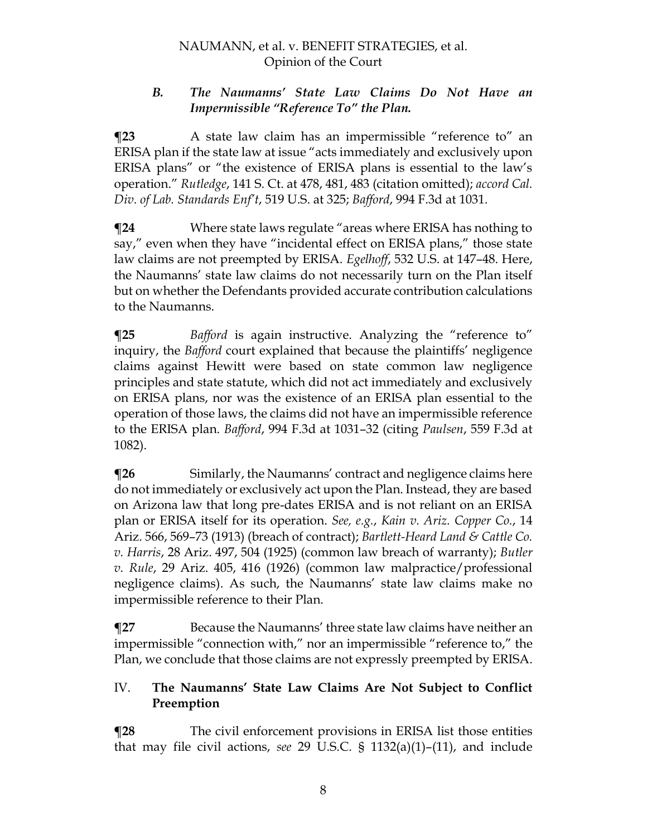### *B. The Naumanns' State Law Claims Do Not Have an Impermissible "Reference To" the Plan.*

**¶23** A state law claim has an impermissible "reference to" an ERISA plan if the state law at issue "acts immediately and exclusively upon ERISA plans" or "the existence of ERISA plans is essential to the law's operation." *Rutledge*, 141 S. Ct. at 478, 481, 483 (citation omitted); *accord Cal. Div. of Lab. Standards Enf't*, 519 U.S. at 325; *Bafford*, 994 F.3d at 1031.

**¶24** Where state laws regulate "areas where ERISA has nothing to say," even when they have "incidental effect on ERISA plans," those state law claims are not preempted by ERISA. *Egelhoff*, 532 U.S. at 147–48. Here, the Naumanns' state law claims do not necessarily turn on the Plan itself but on whether the Defendants provided accurate contribution calculations to the Naumanns.

**¶25** *Bafford* is again instructive. Analyzing the "reference to" inquiry, the *Bafford* court explained that because the plaintiffs' negligence claims against Hewitt were based on state common law negligence principles and state statute, which did not act immediately and exclusively on ERISA plans, nor was the existence of an ERISA plan essential to the operation of those laws, the claims did not have an impermissible reference to the ERISA plan. *Bafford*, 994 F.3d at 1031–32 (citing *Paulsen*, 559 F.3d at 1082).

**¶26** Similarly, the Naumanns' contract and negligence claims here do not immediately or exclusively act upon the Plan. Instead, they are based on Arizona law that long pre-dates ERISA and is not reliant on an ERISA plan or ERISA itself for its operation. *See, e.g.*, *Kain v. Ariz. Copper Co.*, 14 Ariz. 566, 569–73 (1913) (breach of contract); *Bartlett-Heard Land & Cattle Co. v. Harris*, 28 Ariz. 497, 504 (1925) (common law breach of warranty); *Butler v. Rule*, 29 Ariz. 405, 416 (1926) (common law malpractice/professional negligence claims). As such, the Naumanns' state law claims make no impermissible reference to their Plan.

**¶27** Because the Naumanns' three state law claims have neither an impermissible "connection with," nor an impermissible "reference to," the Plan, we conclude that those claims are not expressly preempted by ERISA.

### IV. **The Naumanns' State Law Claims Are Not Subject to Conflict Preemption**

**¶28** The civil enforcement provisions in ERISA list those entities that may file civil actions, *see* 29 U.S.C. § 1132(a)(1)–(11), and include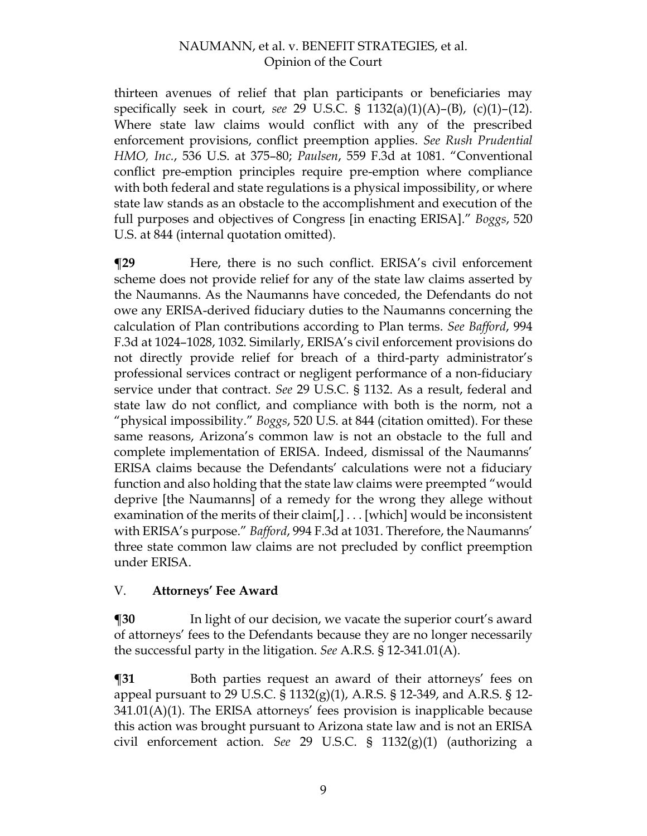thirteen avenues of relief that plan participants or beneficiaries may specifically seek in court, *see* 29 U.S.C. § 1132(a)(1)(A)–(B), (c)(1)–(12). Where state law claims would conflict with any of the prescribed enforcement provisions, conflict preemption applies. *See Rush Prudential HMO, Inc.*, 536 U.S. at 375–80; *Paulsen*, 559 F.3d at 1081. "Conventional conflict pre-emption principles require pre-emption where compliance with both federal and state regulations is a physical impossibility, or where state law stands as an obstacle to the accomplishment and execution of the full purposes and objectives of Congress [in enacting ERISA]." *Boggs*, 520 U.S. at 844 (internal quotation omitted).

**¶29** Here, there is no such conflict. ERISA's civil enforcement scheme does not provide relief for any of the state law claims asserted by the Naumanns. As the Naumanns have conceded, the Defendants do not owe any ERISA-derived fiduciary duties to the Naumanns concerning the calculation of Plan contributions according to Plan terms. *See Bafford*, 994 F.3d at 1024–1028, 1032. Similarly, ERISA's civil enforcement provisions do not directly provide relief for breach of a third-party administrator's professional services contract or negligent performance of a non-fiduciary service under that contract. *See* 29 U.S.C. § 1132. As a result, federal and state law do not conflict, and compliance with both is the norm, not a "physical impossibility." *Boggs*, 520 U.S. at 844 (citation omitted). For these same reasons, Arizona's common law is not an obstacle to the full and complete implementation of ERISA. Indeed, dismissal of the Naumanns' ERISA claims because the Defendants' calculations were not a fiduciary function and also holding that the state law claims were preempted "would deprive [the Naumanns] of a remedy for the wrong they allege without examination of the merits of their claim[,] . . . [which] would be inconsistent with ERISA's purpose." *Bafford*, 994 F.3d at 1031. Therefore, the Naumanns' three state common law claims are not precluded by conflict preemption under ERISA.

# V. **Attorneys' Fee Award**

**¶30** In light of our decision, we vacate the superior court's award of attorneys' fees to the Defendants because they are no longer necessarily the successful party in the litigation. *See* A.R.S. § 12-341.01(A).

**¶31** Both parties request an award of their attorneys' fees on appeal pursuant to 29 U.S.C. § 1132(g)(1), A.R.S. § 12-349, and A.R.S. § 12- 341.01(A)(1). The ERISA attorneys' fees provision is inapplicable because this action was brought pursuant to Arizona state law and is not an ERISA civil enforcement action. *See* 29 U.S.C. § 1132(g)(1) (authorizing a